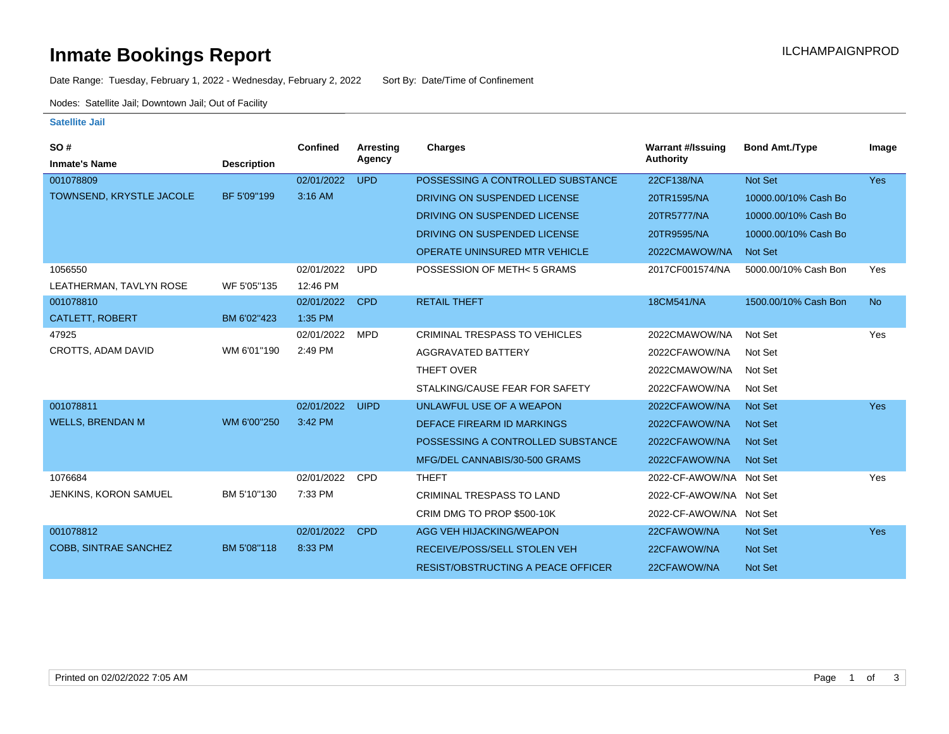### **Inmate Bookings Report International Contract Contract Contract Contract Contract Contract Contract Contract Contract Contract Contract Contract Contract Contract Contract Contract Contract Contract Contract Contract Co**

Date Range: Tuesday, February 1, 2022 - Wednesday, February 2, 2022 Sort By: Date/Time of Confinement

Nodes: Satellite Jail; Downtown Jail; Out of Facility

#### **Satellite Jail**

| SO#                          |                    | <b>Confined</b> | Arresting   | Charges                                   | <b>Warrant #/Issuing</b> | <b>Bond Amt./Type</b> | Image      |
|------------------------------|--------------------|-----------------|-------------|-------------------------------------------|--------------------------|-----------------------|------------|
| <b>Inmate's Name</b>         | <b>Description</b> |                 | Agency      |                                           | <b>Authority</b>         |                       |            |
| 001078809                    |                    | 02/01/2022      | <b>UPD</b>  | POSSESSING A CONTROLLED SUBSTANCE         | 22CF138/NA               | Not Set               | <b>Yes</b> |
| TOWNSEND, KRYSTLE JACOLE     | BF 5'09"199        | 3:16 AM         |             | DRIVING ON SUSPENDED LICENSE              | 20TR1595/NA              | 10000.00/10% Cash Bo  |            |
|                              |                    |                 |             | DRIVING ON SUSPENDED LICENSE              | 20TR5777/NA              | 10000.00/10% Cash Bo  |            |
|                              |                    |                 |             | DRIVING ON SUSPENDED LICENSE              | 20TR9595/NA              | 10000.00/10% Cash Bo  |            |
|                              |                    |                 |             | <b>OPERATE UNINSURED MTR VEHICLE</b>      | 2022CMAWOW/NA            | Not Set               |            |
| 1056550                      |                    | 02/01/2022      | <b>UPD</b>  | POSSESSION OF METH<5 GRAMS                | 2017CF001574/NA          | 5000.00/10% Cash Bon  | Yes        |
| LEATHERMAN, TAVLYN ROSE      | WF 5'05"135        | 12:46 PM        |             |                                           |                          |                       |            |
| 001078810                    |                    | 02/01/2022      | <b>CPD</b>  | <b>RETAIL THEFT</b>                       | 18CM541/NA               | 1500.00/10% Cash Bon  | <b>No</b>  |
| CATLETT, ROBERT              | BM 6'02"423        | 1:35 PM         |             |                                           |                          |                       |            |
| 47925                        |                    | 02/01/2022      | <b>MPD</b>  | <b>CRIMINAL TRESPASS TO VEHICLES</b>      | 2022CMAWOW/NA            | Not Set               | Yes        |
| CROTTS, ADAM DAVID           | WM 6'01"190        | 2:49 PM         |             | AGGRAVATED BATTERY                        | 2022CFAWOW/NA            | Not Set               |            |
|                              |                    |                 |             | THEFT OVER                                | 2022CMAWOW/NA            | Not Set               |            |
|                              |                    |                 |             | STALKING/CAUSE FEAR FOR SAFETY            | 2022CFAWOW/NA            | Not Set               |            |
| 001078811                    |                    | 02/01/2022      | <b>UIPD</b> | UNLAWFUL USE OF A WEAPON                  | 2022CFAWOW/NA            | <b>Not Set</b>        | <b>Yes</b> |
| <b>WELLS, BRENDAN M</b>      | WM 6'00"250        | 3:42 PM         |             | <b>DEFACE FIREARM ID MARKINGS</b>         | 2022CFAWOW/NA            | <b>Not Set</b>        |            |
|                              |                    |                 |             | POSSESSING A CONTROLLED SUBSTANCE         | 2022CFAWOW/NA            | <b>Not Set</b>        |            |
|                              |                    |                 |             | MFG/DEL CANNABIS/30-500 GRAMS             | 2022CFAWOW/NA            | <b>Not Set</b>        |            |
| 1076684                      |                    | 02/01/2022      | <b>CPD</b>  | <b>THEFT</b>                              | 2022-CF-AWOW/NA Not Set  |                       | Yes        |
| JENKINS, KORON SAMUEL        | BM 5'10"130        | 7:33 PM         |             | <b>CRIMINAL TRESPASS TO LAND</b>          | 2022-CF-AWOW/NA Not Set  |                       |            |
|                              |                    |                 |             | CRIM DMG TO PROP \$500-10K                | 2022-CF-AWOW/NA Not Set  |                       |            |
| 001078812                    |                    | 02/01/2022      | <b>CPD</b>  | AGG VEH HIJACKING/WEAPON                  | 22CFAWOW/NA              | Not Set               | <b>Yes</b> |
| <b>COBB, SINTRAE SANCHEZ</b> | BM 5'08"118        | 8:33 PM         |             | <b>RECEIVE/POSS/SELL STOLEN VEH</b>       | 22CFAWOW/NA              | <b>Not Set</b>        |            |
|                              |                    |                 |             | <b>RESIST/OBSTRUCTING A PEACE OFFICER</b> | 22CFAWOW/NA              | <b>Not Set</b>        |            |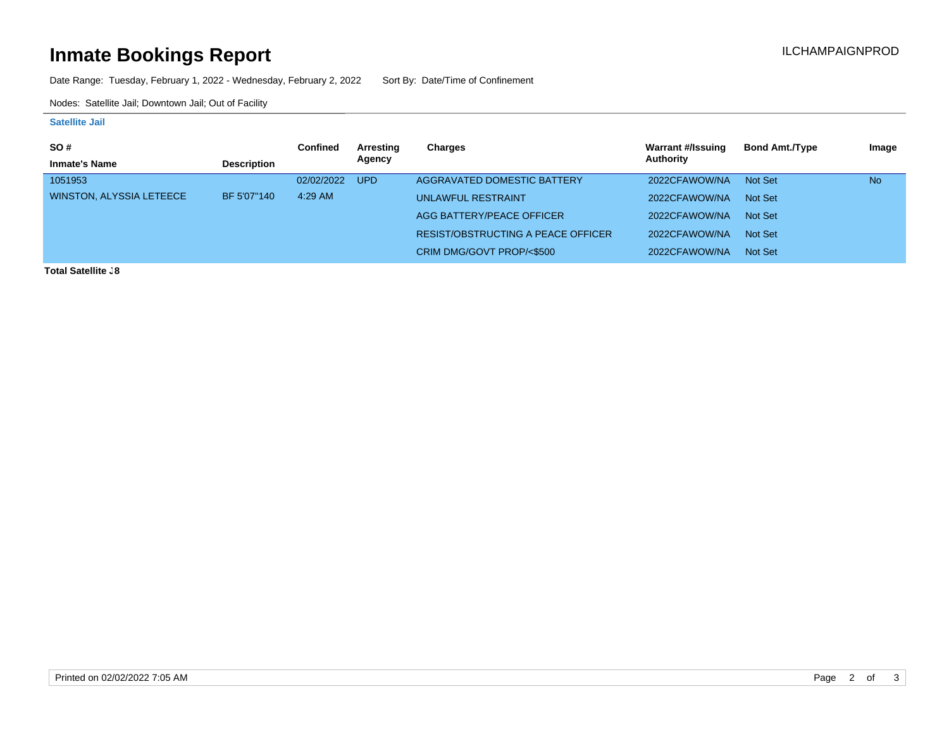# **Inmate Bookings Report Installation Control Control Control Control Control Control Control Control Control Control Control Control Control Control Control Control Control Control Control Control Control Control Control**

Date Range: Tuesday, February 1, 2022 - Wednesday, February 2, 2022 Sort By: Date/Time of Confinement

Nodes: Satellite Jail; Downtown Jail; Out of Facility

#### **Satellite Jail**

| <b>SO#</b>               |                    | Confined   | Arresting | Charges                            | Warrant #/Issuing | <b>Bond Amt./Type</b> | Image     |
|--------------------------|--------------------|------------|-----------|------------------------------------|-------------------|-----------------------|-----------|
| <b>Inmate's Name</b>     | <b>Description</b> |            | Agency    |                                    | Authority         |                       |           |
| 1051953                  |                    | 02/02/2022 | UPD       | AGGRAVATED DOMESTIC BATTERY        | 2022CFAWOW/NA     | Not Set               | <b>No</b> |
| WINSTON, ALYSSIA LETEECE | BF 5'07"140        | $4:29$ AM  |           | <b>UNLAWFUL RESTRAINT</b>          | 2022CFAWOW/NA     | Not Set               |           |
|                          |                    |            |           | AGG BATTERY/PEACE OFFICER          | 2022CFAWOW/NA     | Not Set               |           |
|                          |                    |            |           | RESIST/OBSTRUCTING A PEACE OFFICER | 2022CFAWOW/NA     | Not Set               |           |
|                          |                    |            |           | CRIM DMG/GOVT PROP/<\$500          | 2022CFAWOW/NA     | Not Set               |           |

**Total Satellite .8**